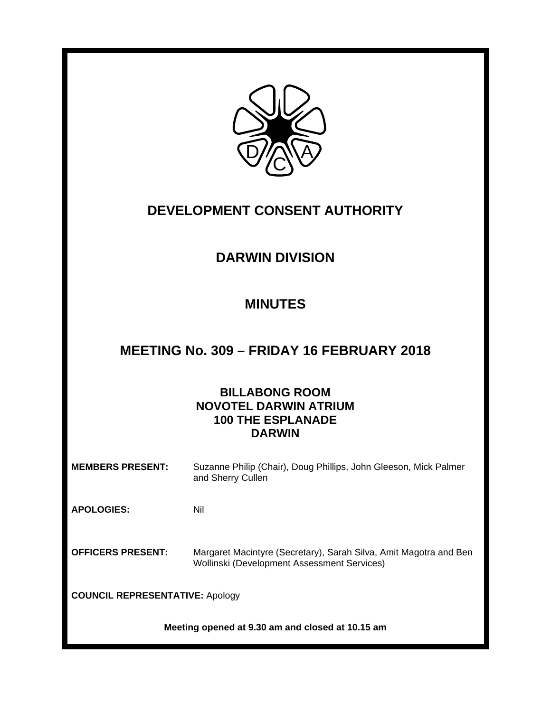

# **DEVELOPMENT CONSENT AUTHORITY**

# **DARWIN DIVISION**

# **MINUTES**

# **MEETING No. 309 – FRIDAY 16 FEBRUARY 2018**

## **BILLABONG ROOM NOVOTEL DARWIN ATRIUM 100 THE ESPLANADE DARWIN**

**MEMBERS PRESENT:** Suzanne Philip (Chair), Doug Phillips, John Gleeson, Mick Palmer and Sherry Cullen

**APOLOGIES:** Nil

**OFFICERS PRESENT:** Margaret Macintyre (Secretary), Sarah Silva, Amit Magotra and Ben Wollinski (Development Assessment Services)

**COUNCIL REPRESENTATIVE:** Apology

**Meeting opened at 9.30 am and closed at 10.15 am**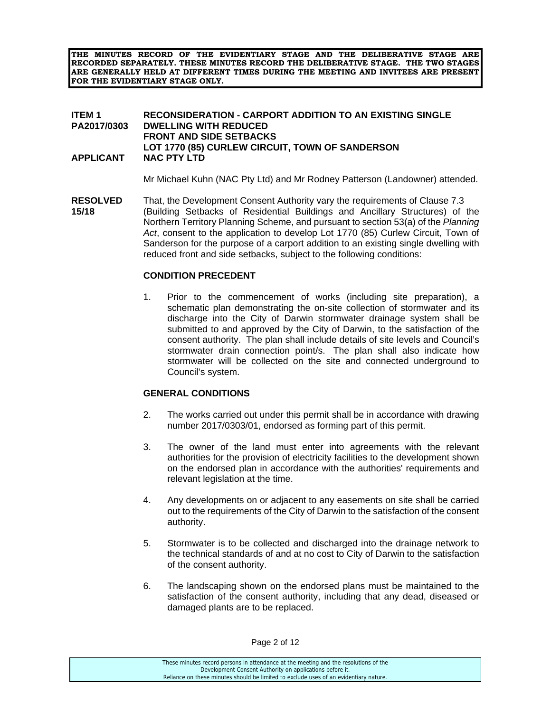**THE MINUTES RECORD OF THE EVIDENTIARY STAGE AND THE DELIBERATIVE STAGE ARE RECORDED SEPARATELY. THESE MINUTES RECORD THE DELIBERATIVE STAGE. THE TWO STAGES ARE GENERALLY HELD AT DIFFERENT TIMES DURING THE MEETING AND INVITEES ARE PRESENT FOR THE EVIDENTIARY STAGE ONLY.** 

#### **ITEM 1 RECONSIDERATION - CARPORT ADDITION TO AN EXISTING SINGLE PA2017/0303 DWELLING WITH REDUCED FRONT AND SIDE SETBACKS LOT 1770 (85) CURLEW CIRCUIT, TOWN OF SANDERSON APPLICANT NAC PTY LTD**

Mr Michael Kuhn (NAC Pty Ltd) and Mr Rodney Patterson (Landowner) attended.

**RESOLVED** That, the Development Consent Authority vary the requirements of Clause 7.3 **15/18** (Building Setbacks of Residential Buildings and Ancillary Structures) of the Northern Territory Planning Scheme, and pursuant to section 53(a) of the *Planning Act*, consent to the application to develop Lot 1770 (85) Curlew Circuit, Town of Sanderson for the purpose of a carport addition to an existing single dwelling with reduced front and side setbacks, subject to the following conditions:

### **CONDITION PRECEDENT**

1. Prior to the commencement of works (including site preparation), a schematic plan demonstrating the on-site collection of stormwater and its discharge into the City of Darwin stormwater drainage system shall be submitted to and approved by the City of Darwin, to the satisfaction of the consent authority. The plan shall include details of site levels and Council's stormwater drain connection point/s. The plan shall also indicate how stormwater will be collected on the site and connected underground to Council's system.

#### **GENERAL CONDITIONS**

- 2. The works carried out under this permit shall be in accordance with drawing number 2017/0303/01, endorsed as forming part of this permit.
- 3. The owner of the land must enter into agreements with the relevant authorities for the provision of electricity facilities to the development shown on the endorsed plan in accordance with the authorities' requirements and relevant legislation at the time.
- 4. Any developments on or adjacent to any easements on site shall be carried out to the requirements of the City of Darwin to the satisfaction of the consent authority.
- 5. Stormwater is to be collected and discharged into the drainage network to the technical standards of and at no cost to City of Darwin to the satisfaction of the consent authority.
- 6. The landscaping shown on the endorsed plans must be maintained to the satisfaction of the consent authority, including that any dead, diseased or damaged plants are to be replaced.

These minutes record persons in attendance at the meeting and the resolutions of the Development Consent Authority on applications before it. Reliance on these minutes should be limited to exclude uses of an evidentiary nature.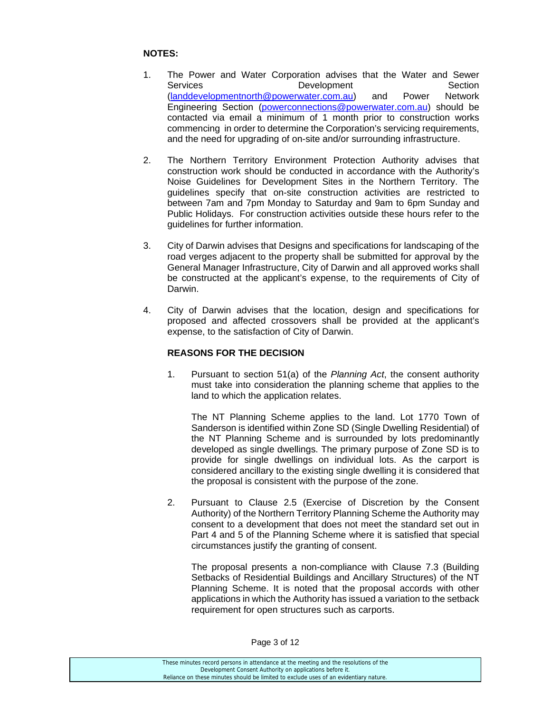#### **NOTES:**

- 1. The Power and Water Corporation advises that the Water and Sewer Services **Development** Development Section (landdevelopmentnorth@powerwater.com.au) and Power Network Engineering Section (powerconnections@powerwater.com.au) should be contacted via email a minimum of 1 month prior to construction works commencing in order to determine the Corporation's servicing requirements, and the need for upgrading of on-site and/or surrounding infrastructure.
- 2. The Northern Territory Environment Protection Authority advises that construction work should be conducted in accordance with the Authority's Noise Guidelines for Development Sites in the Northern Territory. The guidelines specify that on-site construction activities are restricted to between 7am and 7pm Monday to Saturday and 9am to 6pm Sunday and Public Holidays. For construction activities outside these hours refer to the guidelines for further information.
- 3. City of Darwin advises that Designs and specifications for landscaping of the road verges adjacent to the property shall be submitted for approval by the General Manager Infrastructure, City of Darwin and all approved works shall be constructed at the applicant's expense, to the requirements of City of Darwin.
- 4. City of Darwin advises that the location, design and specifications for proposed and affected crossovers shall be provided at the applicant's expense, to the satisfaction of City of Darwin.

#### **REASONS FOR THE DECISION**

1. Pursuant to section 51(a) of the *Planning Act*, the consent authority must take into consideration the planning scheme that applies to the land to which the application relates.

 The NT Planning Scheme applies to the land. Lot 1770 Town of Sanderson is identified within Zone SD (Single Dwelling Residential) of the NT Planning Scheme and is surrounded by lots predominantly developed as single dwellings. The primary purpose of Zone SD is to provide for single dwellings on individual lots. As the carport is considered ancillary to the existing single dwelling it is considered that the proposal is consistent with the purpose of the zone.

2. Pursuant to Clause 2.5 (Exercise of Discretion by the Consent Authority) of the Northern Territory Planning Scheme the Authority may consent to a development that does not meet the standard set out in Part 4 and 5 of the Planning Scheme where it is satisfied that special circumstances justify the granting of consent.

 The proposal presents a non-compliance with Clause 7.3 (Building Setbacks of Residential Buildings and Ancillary Structures) of the NT Planning Scheme. It is noted that the proposal accords with other applications in which the Authority has issued a variation to the setback requirement for open structures such as carports.

These minutes record persons in attendance at the meeting and the resolutions of the Development Consent Authority on applications before it. Reliance on these minutes should be limited to exclude uses of an evidentiary nature.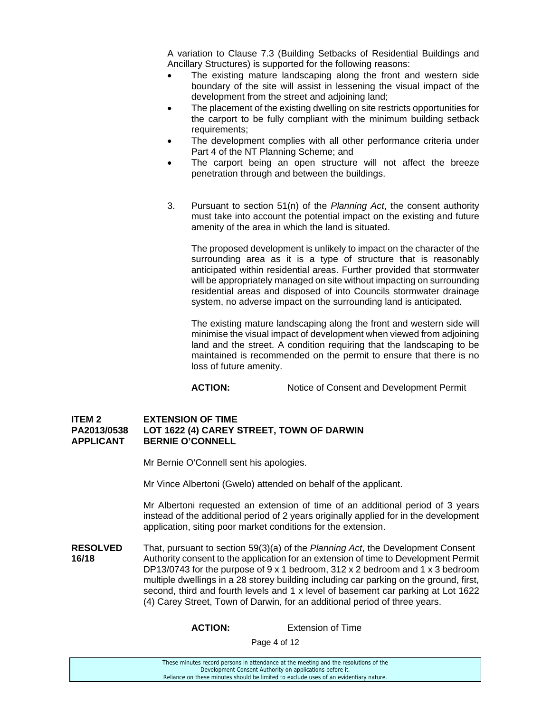A variation to Clause 7.3 (Building Setbacks of Residential Buildings and Ancillary Structures) is supported for the following reasons:

- The existing mature landscaping along the front and western side boundary of the site will assist in lessening the visual impact of the development from the street and adjoining land;
- The placement of the existing dwelling on site restricts opportunities for the carport to be fully compliant with the minimum building setback requirements;
- The development complies with all other performance criteria under Part 4 of the NT Planning Scheme; and
- The carport being an open structure will not affect the breeze penetration through and between the buildings.
- 3. Pursuant to section 51(n) of the *Planning Act*, the consent authority must take into account the potential impact on the existing and future amenity of the area in which the land is situated.

 The proposed development is unlikely to impact on the character of the surrounding area as it is a type of structure that is reasonably anticipated within residential areas. Further provided that stormwater will be appropriately managed on site without impacting on surrounding residential areas and disposed of into Councils stormwater drainage system, no adverse impact on the surrounding land is anticipated.

 The existing mature landscaping along the front and western side will minimise the visual impact of development when viewed from adjoining land and the street. A condition requiring that the landscaping to be maintained is recommended on the permit to ensure that there is no loss of future amenity.

**ACTION:** Notice of Consent and Development Permit

#### **ITEM 2 EXTENSION OF TIME PA2013/0538 LOT 1622 (4) CAREY STREET, TOWN OF DARWIN APPLICANT BERNIE O'CONNELL**

Mr Bernie O'Connell sent his apologies.

Mr Vince Albertoni (Gwelo) attended on behalf of the applicant.

 Mr Albertoni requested an extension of time of an additional period of 3 years instead of the additional period of 2 years originally applied for in the development application, siting poor market conditions for the extension.

**RESOLVED** That, pursuant to section 59(3)(a) of the *Planning Act*, the Development Consent **16/18** Authority consent to the application for an extension of time to Development Permit DP13/0743 for the purpose of 9 x 1 bedroom, 312 x 2 bedroom and 1 x 3 bedroom multiple dwellings in a 28 storey building including car parking on the ground, first, second, third and fourth levels and 1 x level of basement car parking at Lot 1622 (4) Carey Street, Town of Darwin, for an additional period of three years.

 **ACTION:** Extension of Time

Page 4 of 12

| These minutes record persons in attendance at the meeting and the resolutions of the  |
|---------------------------------------------------------------------------------------|
| Development Consent Authority on applications before it.                              |
| Reliance on these minutes should be limited to exclude uses of an evidentiary nature. |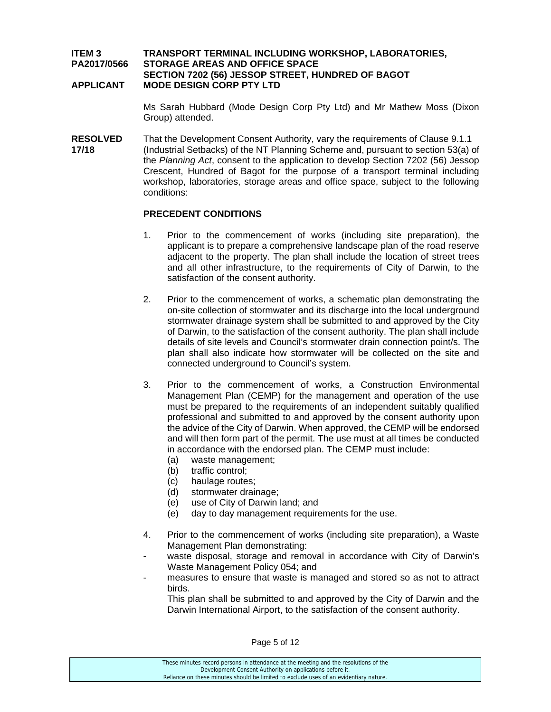#### **ITEM 3 TRANSPORT TERMINAL INCLUDING WORKSHOP, LABORATORIES, PA2017/0566 STORAGE AREAS AND OFFICE SPACE SECTION 7202 (56) JESSOP STREET, HUNDRED OF BAGOT APPLICANT MODE DESIGN CORP PTY LTD**

 Ms Sarah Hubbard (Mode Design Corp Pty Ltd) and Mr Mathew Moss (Dixon Group) attended.

**RESOLVED** That the Development Consent Authority, vary the requirements of Clause 9.1.1 **17/18** (Industrial Setbacks) of the NT Planning Scheme and, pursuant to section 53(a) of the *Planning Act*, consent to the application to develop Section 7202 (56) Jessop Crescent, Hundred of Bagot for the purpose of a transport terminal including workshop, laboratories, storage areas and office space, subject to the following conditions:

#### **PRECEDENT CONDITIONS**

- 1. Prior to the commencement of works (including site preparation), the applicant is to prepare a comprehensive landscape plan of the road reserve adjacent to the property. The plan shall include the location of street trees and all other infrastructure, to the requirements of City of Darwin, to the satisfaction of the consent authority.
- 2. Prior to the commencement of works, a schematic plan demonstrating the on-site collection of stormwater and its discharge into the local underground stormwater drainage system shall be submitted to and approved by the City of Darwin, to the satisfaction of the consent authority. The plan shall include details of site levels and Council's stormwater drain connection point/s. The plan shall also indicate how stormwater will be collected on the site and connected underground to Council's system.
- 3. Prior to the commencement of works, a Construction Environmental Management Plan (CEMP) for the management and operation of the use must be prepared to the requirements of an independent suitably qualified professional and submitted to and approved by the consent authority upon the advice of the City of Darwin. When approved, the CEMP will be endorsed and will then form part of the permit. The use must at all times be conducted in accordance with the endorsed plan. The CEMP must include:
	- (a) waste management;
	- (b) traffic control;
	- (c) haulage routes;
	- (d) stormwater drainage;
	- (e) use of City of Darwin land; and
	- (e) day to day management requirements for the use.
- 4. Prior to the commencement of works (including site preparation), a Waste Management Plan demonstrating:
- waste disposal, storage and removal in accordance with City of Darwin's Waste Management Policy 054; and
- measures to ensure that waste is managed and stored so as not to attract birds.

 This plan shall be submitted to and approved by the City of Darwin and the Darwin International Airport, to the satisfaction of the consent authority.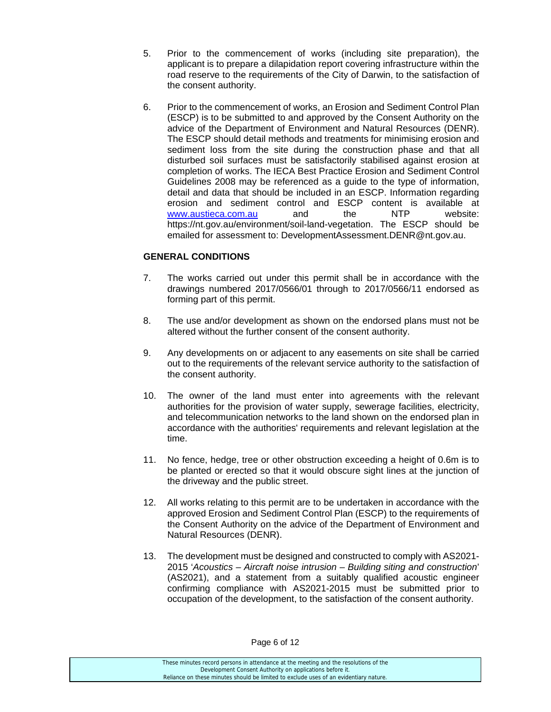- 5. Prior to the commencement of works (including site preparation), the applicant is to prepare a dilapidation report covering infrastructure within the road reserve to the requirements of the City of Darwin, to the satisfaction of the consent authority.
- 6. Prior to the commencement of works, an Erosion and Sediment Control Plan (ESCP) is to be submitted to and approved by the Consent Authority on the advice of the Department of Environment and Natural Resources (DENR). The ESCP should detail methods and treatments for minimising erosion and sediment loss from the site during the construction phase and that all disturbed soil surfaces must be satisfactorily stabilised against erosion at completion of works. The IECA Best Practice Erosion and Sediment Control Guidelines 2008 may be referenced as a guide to the type of information, detail and data that should be included in an ESCP. Information regarding erosion and sediment control and ESCP content is available at www.austieca.com.au and the NTP website: https://nt.gov.au/environment/soil-land-vegetation. The ESCP should be emailed for assessment to: DevelopmentAssessment.DENR@nt.gov.au.

#### **GENERAL CONDITIONS**

- 7. The works carried out under this permit shall be in accordance with the drawings numbered 2017/0566/01 through to 2017/0566/11 endorsed as forming part of this permit.
- 8. The use and/or development as shown on the endorsed plans must not be altered without the further consent of the consent authority.
- 9. Any developments on or adjacent to any easements on site shall be carried out to the requirements of the relevant service authority to the satisfaction of the consent authority.
- 10. The owner of the land must enter into agreements with the relevant authorities for the provision of water supply, sewerage facilities, electricity, and telecommunication networks to the land shown on the endorsed plan in accordance with the authorities' requirements and relevant legislation at the time.
- 11. No fence, hedge, tree or other obstruction exceeding a height of 0.6m is to be planted or erected so that it would obscure sight lines at the junction of the driveway and the public street.
- 12. All works relating to this permit are to be undertaken in accordance with the approved Erosion and Sediment Control Plan (ESCP) to the requirements of the Consent Authority on the advice of the Department of Environment and Natural Resources (DENR).
- 13. The development must be designed and constructed to comply with AS2021- 2015 '*Acoustics – Aircraft noise intrusion – Building siting and construction*' (AS2021), and a statement from a suitably qualified acoustic engineer confirming compliance with AS2021-2015 must be submitted prior to occupation of the development, to the satisfaction of the consent authority.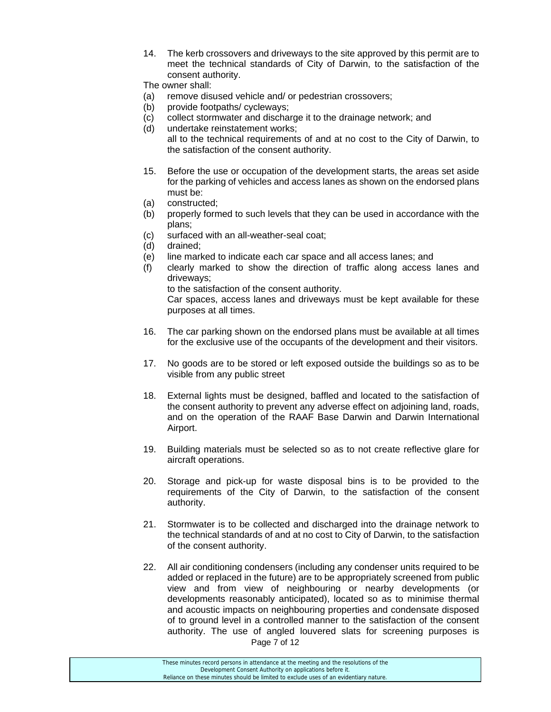14. The kerb crossovers and driveways to the site approved by this permit are to meet the technical standards of City of Darwin, to the satisfaction of the consent authority.

The owner shall:

- (a) remove disused vehicle and/ or pedestrian crossovers;
- (b) provide footpaths/ cycleways;
- (c) collect stormwater and discharge it to the drainage network; and
- (d) undertake reinstatement works; all to the technical requirements of and at no cost to the City of Darwin, to the satisfaction of the consent authority.
- 15. Before the use or occupation of the development starts, the areas set aside for the parking of vehicles and access lanes as shown on the endorsed plans must be:
- (a) constructed;
- (b) properly formed to such levels that they can be used in accordance with the plans;
- (c) surfaced with an all-weather-seal coat;
- (d) drained;
- (e) line marked to indicate each car space and all access lanes; and
- (f) clearly marked to show the direction of traffic along access lanes and driveways;

to the satisfaction of the consent authority.

 Car spaces, access lanes and driveways must be kept available for these purposes at all times.

- 16. The car parking shown on the endorsed plans must be available at all times for the exclusive use of the occupants of the development and their visitors.
- 17. No goods are to be stored or left exposed outside the buildings so as to be visible from any public street
- 18. External lights must be designed, baffled and located to the satisfaction of the consent authority to prevent any adverse effect on adjoining land, roads, and on the operation of the RAAF Base Darwin and Darwin International Airport.
- 19. Building materials must be selected so as to not create reflective glare for aircraft operations.
- 20. Storage and pick-up for waste disposal bins is to be provided to the requirements of the City of Darwin, to the satisfaction of the consent authority.
- 21. Stormwater is to be collected and discharged into the drainage network to the technical standards of and at no cost to City of Darwin, to the satisfaction of the consent authority.
- Page 7 of 12 22. All air conditioning condensers (including any condenser units required to be added or replaced in the future) are to be appropriately screened from public view and from view of neighbouring or nearby developments (or developments reasonably anticipated), located so as to minimise thermal and acoustic impacts on neighbouring properties and condensate disposed of to ground level in a controlled manner to the satisfaction of the consent authority. The use of angled louvered slats for screening purposes is

These minutes record persons in attendance at the meeting and the resolutions of the Development Consent Authority on applications before it. Reliance on these minutes should be limited to exclude uses of an evidentiary nature.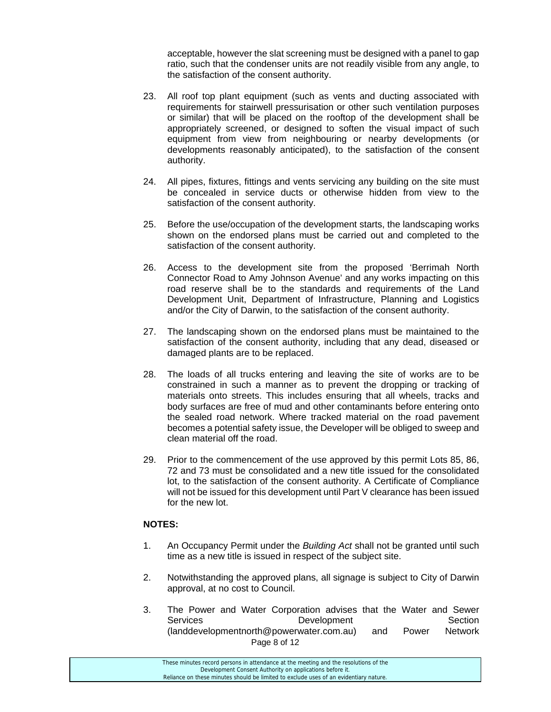acceptable, however the slat screening must be designed with a panel to gap ratio, such that the condenser units are not readily visible from any angle, to the satisfaction of the consent authority.

- 23. All roof top plant equipment (such as vents and ducting associated with requirements for stairwell pressurisation or other such ventilation purposes or similar) that will be placed on the rooftop of the development shall be appropriately screened, or designed to soften the visual impact of such equipment from view from neighbouring or nearby developments (or developments reasonably anticipated), to the satisfaction of the consent authority.
- 24. All pipes, fixtures, fittings and vents servicing any building on the site must be concealed in service ducts or otherwise hidden from view to the satisfaction of the consent authority.
- 25. Before the use/occupation of the development starts, the landscaping works shown on the endorsed plans must be carried out and completed to the satisfaction of the consent authority.
- 26. Access to the development site from the proposed 'Berrimah North Connector Road to Amy Johnson Avenue' and any works impacting on this road reserve shall be to the standards and requirements of the Land Development Unit, Department of Infrastructure, Planning and Logistics and/or the City of Darwin, to the satisfaction of the consent authority.
- 27. The landscaping shown on the endorsed plans must be maintained to the satisfaction of the consent authority, including that any dead, diseased or damaged plants are to be replaced.
- 28. The loads of all trucks entering and leaving the site of works are to be constrained in such a manner as to prevent the dropping or tracking of materials onto streets. This includes ensuring that all wheels, tracks and body surfaces are free of mud and other contaminants before entering onto the sealed road network. Where tracked material on the road pavement becomes a potential safety issue, the Developer will be obliged to sweep and clean material off the road.
- 29. Prior to the commencement of the use approved by this permit Lots 85, 86, 72 and 73 must be consolidated and a new title issued for the consolidated lot, to the satisfaction of the consent authority. A Certificate of Compliance will not be issued for this development until Part V clearance has been issued for the new lot.

#### **NOTES:**

- 1. An Occupancy Permit under the *Building Act* shall not be granted until such time as a new title is issued in respect of the subject site.
- 2. Notwithstanding the approved plans, all signage is subject to City of Darwin approval, at no cost to Council.
- Page 8 of 12 3. The Power and Water Corporation advises that the Water and Sewer Services **Development** Development Section (landdevelopmentnorth@powerwater.com.au) and Power Network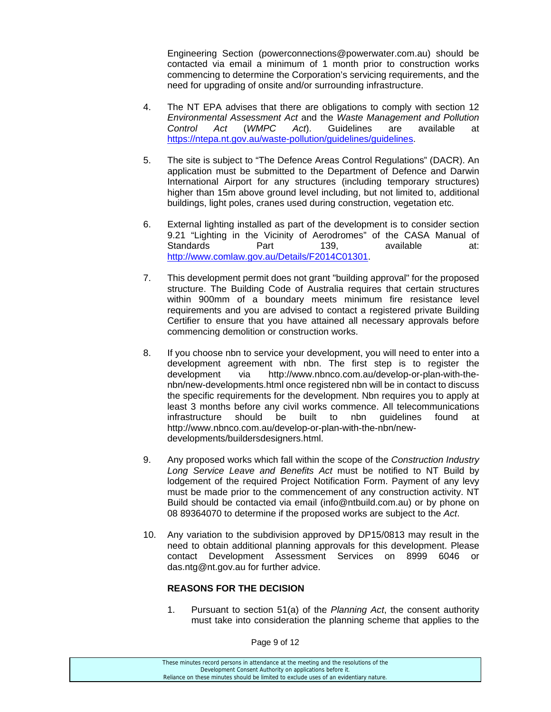Engineering Section (powerconnections@powerwater.com.au) should be contacted via email a minimum of 1 month prior to construction works commencing to determine the Corporation's servicing requirements, and the need for upgrading of onsite and/or surrounding infrastructure.

- 4. The NT EPA advises that there are obligations to comply with section 12 *Environmental Assessment Act* and the *Waste Management and Pollution Control Act* (*WMPC Act*). Guidelines are available at https://ntepa.nt.gov.au/waste-pollution/guidelines/guidelines.
- 5. The site is subject to "The Defence Areas Control Regulations" (DACR). An application must be submitted to the Department of Defence and Darwin International Airport for any structures (including temporary structures) higher than 15m above ground level including, but not limited to, additional buildings, light poles, cranes used during construction, vegetation etc.
- 6. External lighting installed as part of the development is to consider section 9.21 "Lighting in the Vicinity of Aerodromes" of the CASA Manual of Standards **Part** 139, available at: http://www.comlaw.gov.au/Details/F2014C01301.
- 7. This development permit does not grant "building approval" for the proposed structure. The Building Code of Australia requires that certain structures within 900mm of a boundary meets minimum fire resistance level requirements and you are advised to contact a registered private Building Certifier to ensure that you have attained all necessary approvals before commencing demolition or construction works.
- 8. If you choose nbn to service your development, you will need to enter into a development agreement with nbn. The first step is to register the development via http://www.nbnco.com.au/develop-or-plan-with-thenbn/new-developments.html once registered nbn will be in contact to discuss the specific requirements for the development. Nbn requires you to apply at least 3 months before any civil works commence. All telecommunications infrastructure should be built to nbn guidelines found at http://www.nbnco.com.au/develop-or-plan-with-the-nbn/newdevelopments/buildersdesigners.html.
- 9. Any proposed works which fall within the scope of the *Construction Industry Long Service Leave and Benefits Act* must be notified to NT Build by lodgement of the required Project Notification Form. Payment of any levy must be made prior to the commencement of any construction activity. NT Build should be contacted via email (info@ntbuild.com.au) or by phone on 08 89364070 to determine if the proposed works are subject to the *Act*.
- 10. Any variation to the subdivision approved by DP15/0813 may result in the need to obtain additional planning approvals for this development. Please contact Development Assessment Services on 8999 6046 or das.ntg@nt.gov.au for further advice.

#### **REASONS FOR THE DECISION**

1. Pursuant to section 51(a) of the *Planning Act*, the consent authority must take into consideration the planning scheme that applies to the

Page 9 of 12

These minutes record persons in attendance at the meeting and the resolutions of the Development Consent Authority on applications before it. Reliance on these minutes should be limited to exclude uses of an evidentiary nature.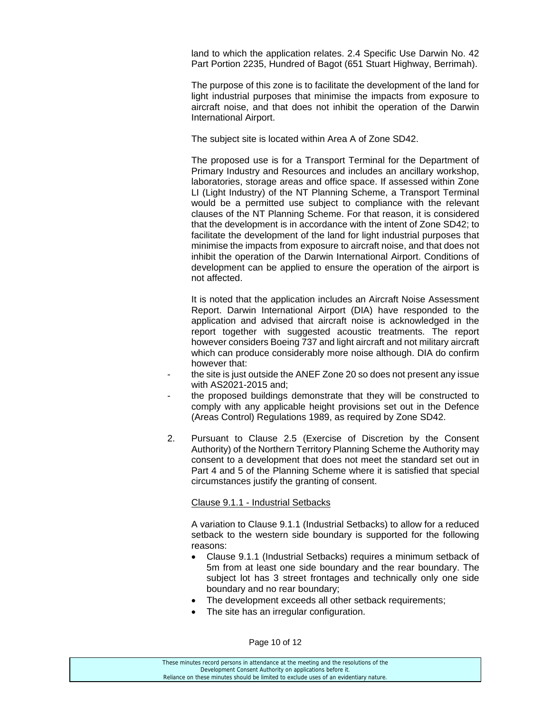land to which the application relates. 2.4 Specific Use Darwin No. 42 Part Portion 2235, Hundred of Bagot (651 Stuart Highway, Berrimah).

 The purpose of this zone is to facilitate the development of the land for light industrial purposes that minimise the impacts from exposure to aircraft noise, and that does not inhibit the operation of the Darwin International Airport.

The subject site is located within Area A of Zone SD42.

 The proposed use is for a Transport Terminal for the Department of Primary Industry and Resources and includes an ancillary workshop, laboratories, storage areas and office space. If assessed within Zone LI (Light Industry) of the NT Planning Scheme, a Transport Terminal would be a permitted use subject to compliance with the relevant clauses of the NT Planning Scheme. For that reason, it is considered that the development is in accordance with the intent of Zone SD42; to facilitate the development of the land for light industrial purposes that minimise the impacts from exposure to aircraft noise, and that does not inhibit the operation of the Darwin International Airport. Conditions of development can be applied to ensure the operation of the airport is not affected.

 It is noted that the application includes an Aircraft Noise Assessment Report. Darwin International Airport (DIA) have responded to the application and advised that aircraft noise is acknowledged in the report together with suggested acoustic treatments. The report however considers Boeing 737 and light aircraft and not military aircraft which can produce considerably more noise although. DIA do confirm however that:

- the site is just outside the ANEF Zone 20 so does not present any issue with AS2021-2015 and;
- the proposed buildings demonstrate that they will be constructed to comply with any applicable height provisions set out in the Defence (Areas Control) Regulations 1989, as required by Zone SD42.
- 2. Pursuant to Clause 2.5 (Exercise of Discretion by the Consent Authority) of the Northern Territory Planning Scheme the Authority may consent to a development that does not meet the standard set out in Part 4 and 5 of the Planning Scheme where it is satisfied that special circumstances justify the granting of consent.

#### Clause 9.1.1 - Industrial Setbacks

 A variation to Clause 9.1.1 (Industrial Setbacks) to allow for a reduced setback to the western side boundary is supported for the following reasons:

- Clause 9.1.1 (Industrial Setbacks) requires a minimum setback of 5m from at least one side boundary and the rear boundary. The subject lot has 3 street frontages and technically only one side boundary and no rear boundary;
- The development exceeds all other setback requirements;
- The site has an irregular configuration.

Page 10 of 12

| These minutes record persons in attendance at the meeting and the resolutions of the  |
|---------------------------------------------------------------------------------------|
| Development Consent Authority on applications before it.                              |
| Reliance on these minutes should be limited to exclude uses of an evidentiary nature. |
|                                                                                       |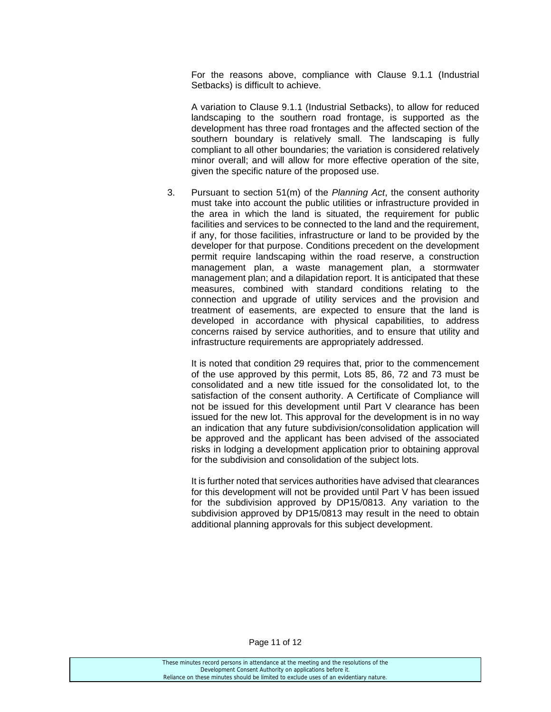For the reasons above, compliance with Clause 9.1.1 (Industrial Setbacks) is difficult to achieve.

A variation to Clause 9.1.1 (Industrial Setbacks), to allow for reduced landscaping to the southern road frontage, is supported as the development has three road frontages and the affected section of the southern boundary is relatively small. The landscaping is fully compliant to all other boundaries; the variation is considered relatively minor overall; and will allow for more effective operation of the site, given the specific nature of the proposed use.

3. Pursuant to section 51(m) of the *Planning Act*, the consent authority must take into account the public utilities or infrastructure provided in the area in which the land is situated, the requirement for public facilities and services to be connected to the land and the requirement, if any, for those facilities, infrastructure or land to be provided by the developer for that purpose. Conditions precedent on the development permit require landscaping within the road reserve, a construction management plan, a waste management plan, a stormwater management plan; and a dilapidation report. It is anticipated that these measures, combined with standard conditions relating to the connection and upgrade of utility services and the provision and treatment of easements, are expected to ensure that the land is developed in accordance with physical capabilities, to address concerns raised by service authorities, and to ensure that utility and infrastructure requirements are appropriately addressed.

It is noted that condition 29 requires that, prior to the commencement of the use approved by this permit, Lots 85, 86, 72 and 73 must be consolidated and a new title issued for the consolidated lot, to the satisfaction of the consent authority. A Certificate of Compliance will not be issued for this development until Part V clearance has been issued for the new lot. This approval for the development is in no way an indication that any future subdivision/consolidation application will be approved and the applicant has been advised of the associated risks in lodging a development application prior to obtaining approval for the subdivision and consolidation of the subject lots.

It is further noted that services authorities have advised that clearances for this development will not be provided until Part V has been issued for the subdivision approved by DP15/0813. Any variation to the subdivision approved by DP15/0813 may result in the need to obtain additional planning approvals for this subject development.

Page 11 of 12